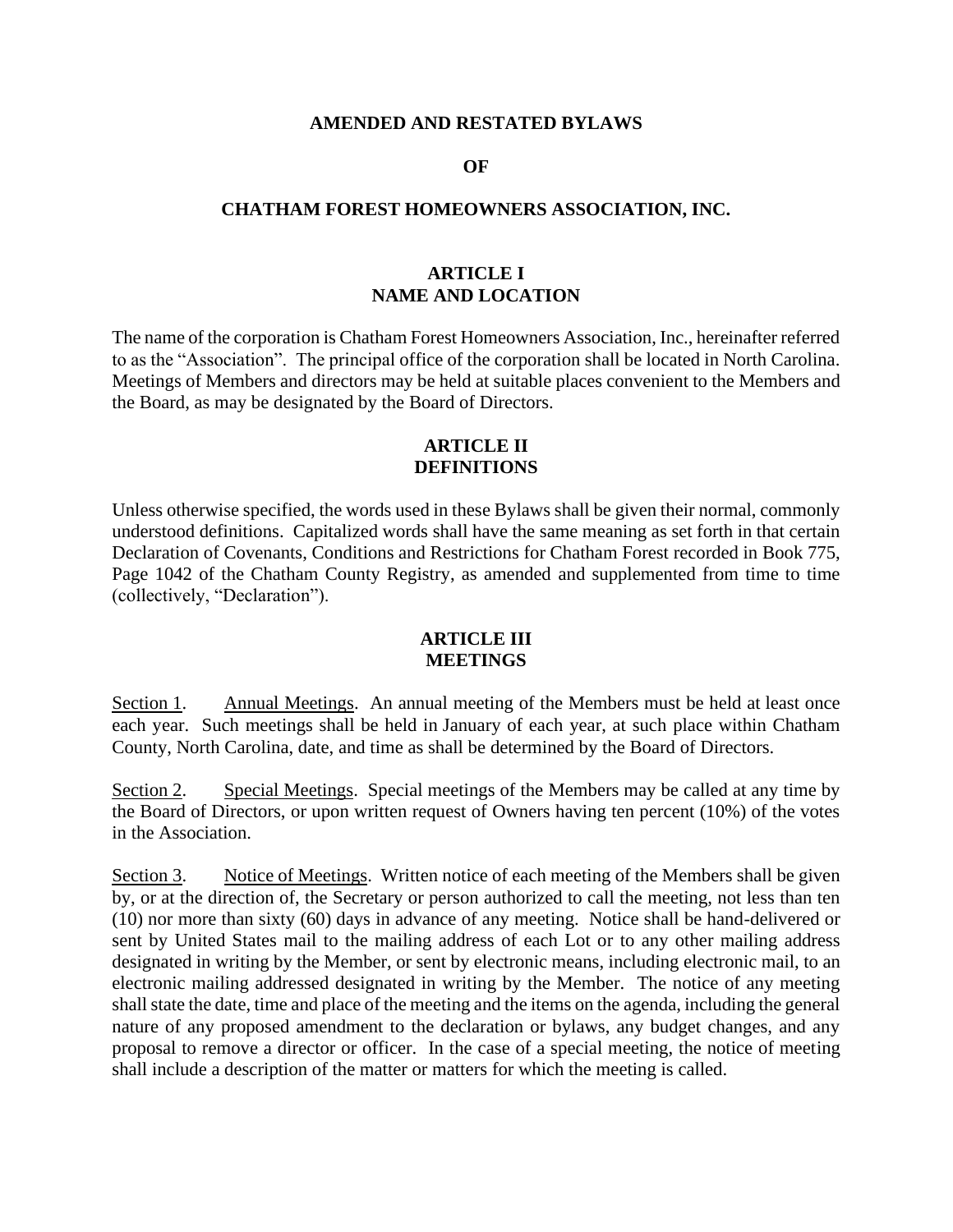#### **AMENDED AND RESTATED BYLAWS**

#### **OF**

#### **CHATHAM FOREST HOMEOWNERS ASSOCIATION, INC.**

#### **ARTICLE I NAME AND LOCATION**

The name of the corporation is Chatham Forest Homeowners Association, Inc., hereinafter referred to as the "Association". The principal office of the corporation shall be located in North Carolina. Meetings of Members and directors may be held at suitable places convenient to the Members and the Board, as may be designated by the Board of Directors.

### **ARTICLE II DEFINITIONS**

Unless otherwise specified, the words used in these Bylaws shall be given their normal, commonly understood definitions. Capitalized words shall have the same meaning as set forth in that certain Declaration of Covenants, Conditions and Restrictions for Chatham Forest recorded in Book 775, Page 1042 of the Chatham County Registry, as amended and supplemented from time to time (collectively, "Declaration").

#### **ARTICLE III MEETINGS**

Section 1. Annual Meetings. An annual meeting of the Members must be held at least once each year. Such meetings shall be held in January of each year, at such place within Chatham County, North Carolina, date, and time as shall be determined by the Board of Directors.

Section 2. Special Meetings. Special meetings of the Members may be called at any time by the Board of Directors, or upon written request of Owners having ten percent (10%) of the votes in the Association.

Section 3. Notice of Meetings. Written notice of each meeting of the Members shall be given by, or at the direction of, the Secretary or person authorized to call the meeting, not less than ten (10) nor more than sixty (60) days in advance of any meeting. Notice shall be hand-delivered or sent by United States mail to the mailing address of each Lot or to any other mailing address designated in writing by the Member, or sent by electronic means, including electronic mail, to an electronic mailing addressed designated in writing by the Member. The notice of any meeting shall state the date, time and place of the meeting and the items on the agenda, including the general nature of any proposed amendment to the declaration or bylaws, any budget changes, and any proposal to remove a director or officer. In the case of a special meeting, the notice of meeting shall include a description of the matter or matters for which the meeting is called.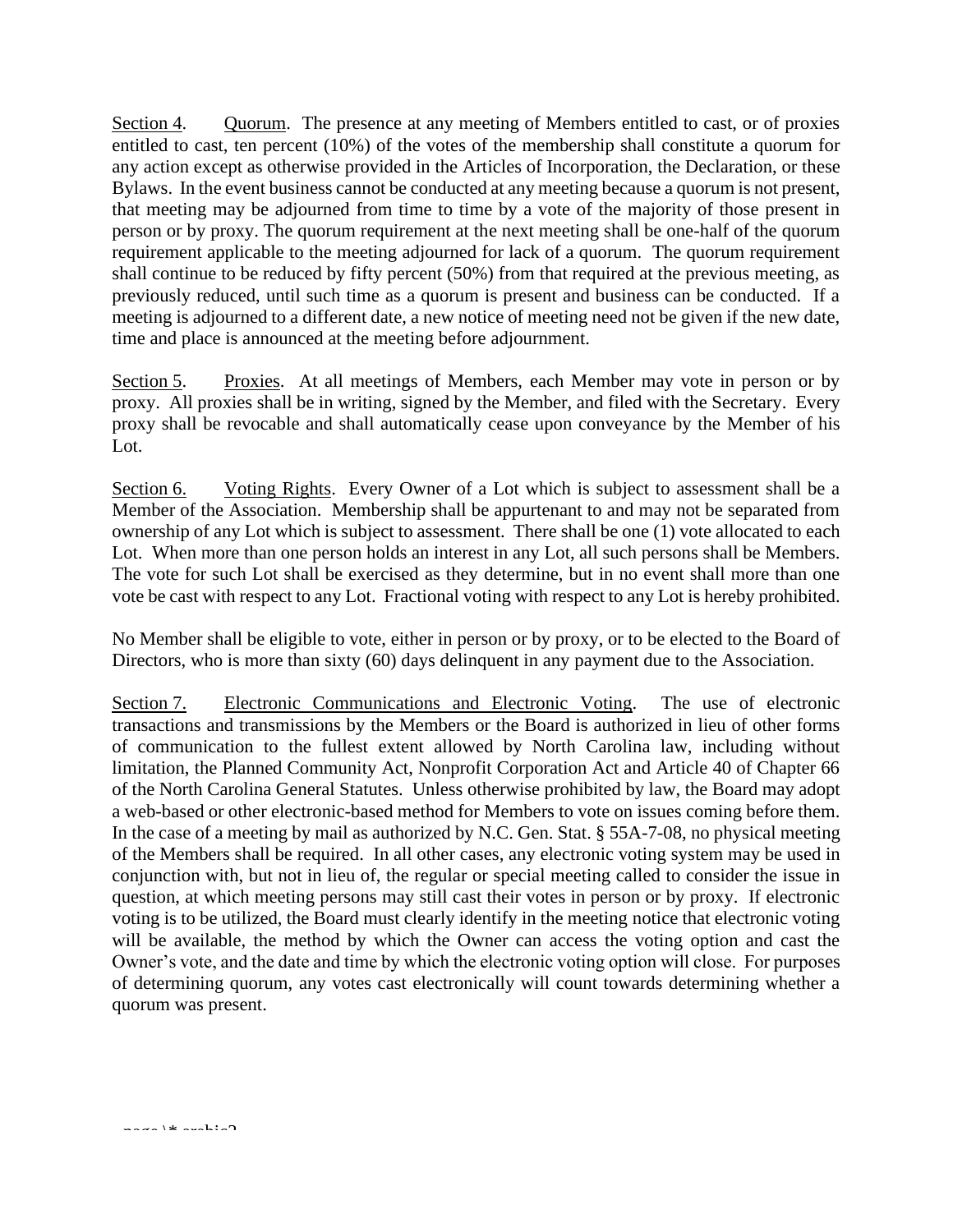Section 4. Quorum. The presence at any meeting of Members entitled to cast, or of proxies entitled to cast, ten percent (10%) of the votes of the membership shall constitute a quorum for any action except as otherwise provided in the Articles of Incorporation, the Declaration, or these Bylaws. In the event business cannot be conducted at any meeting because a quorum is not present, that meeting may be adjourned from time to time by a vote of the majority of those present in person or by proxy. The quorum requirement at the next meeting shall be one-half of the quorum requirement applicable to the meeting adjourned for lack of a quorum. The quorum requirement shall continue to be reduced by fifty percent (50%) from that required at the previous meeting, as previously reduced, until such time as a quorum is present and business can be conducted. If a meeting is adjourned to a different date, a new notice of meeting need not be given if the new date, time and place is announced at the meeting before adjournment.

Section 5. Proxies. At all meetings of Members, each Member may vote in person or by proxy. All proxies shall be in writing, signed by the Member, and filed with the Secretary. Every proxy shall be revocable and shall automatically cease upon conveyance by the Member of his Lot.

Section 6. Voting Rights. Every Owner of a Lot which is subject to assessment shall be a Member of the Association. Membership shall be appurtenant to and may not be separated from ownership of any Lot which is subject to assessment. There shall be one (1) vote allocated to each Lot. When more than one person holds an interest in any Lot, all such persons shall be Members. The vote for such Lot shall be exercised as they determine, but in no event shall more than one vote be cast with respect to any Lot. Fractional voting with respect to any Lot is hereby prohibited.

No Member shall be eligible to vote, either in person or by proxy, or to be elected to the Board of Directors, who is more than sixty (60) days delinguent in any payment due to the Association.

Section 7. Electronic Communications and Electronic Voting. The use of electronic transactions and transmissions by the Members or the Board is authorized in lieu of other forms of communication to the fullest extent allowed by North Carolina law, including without limitation, the Planned Community Act, Nonprofit Corporation Act and Article 40 of Chapter 66 of the North Carolina General Statutes. Unless otherwise prohibited by law, the Board may adopt a web-based or other electronic-based method for Members to vote on issues coming before them. In the case of a meeting by mail as authorized by N.C. Gen. Stat. § 55A-7-08, no physical meeting of the Members shall be required. In all other cases, any electronic voting system may be used in conjunction with, but not in lieu of, the regular or special meeting called to consider the issue in question, at which meeting persons may still cast their votes in person or by proxy. If electronic voting is to be utilized, the Board must clearly identify in the meeting notice that electronic voting will be available, the method by which the Owner can access the voting option and cast the Owner's vote, and the date and time by which the electronic voting option will close. For purposes of determining quorum, any votes cast electronically will count towards determining whether a quorum was present.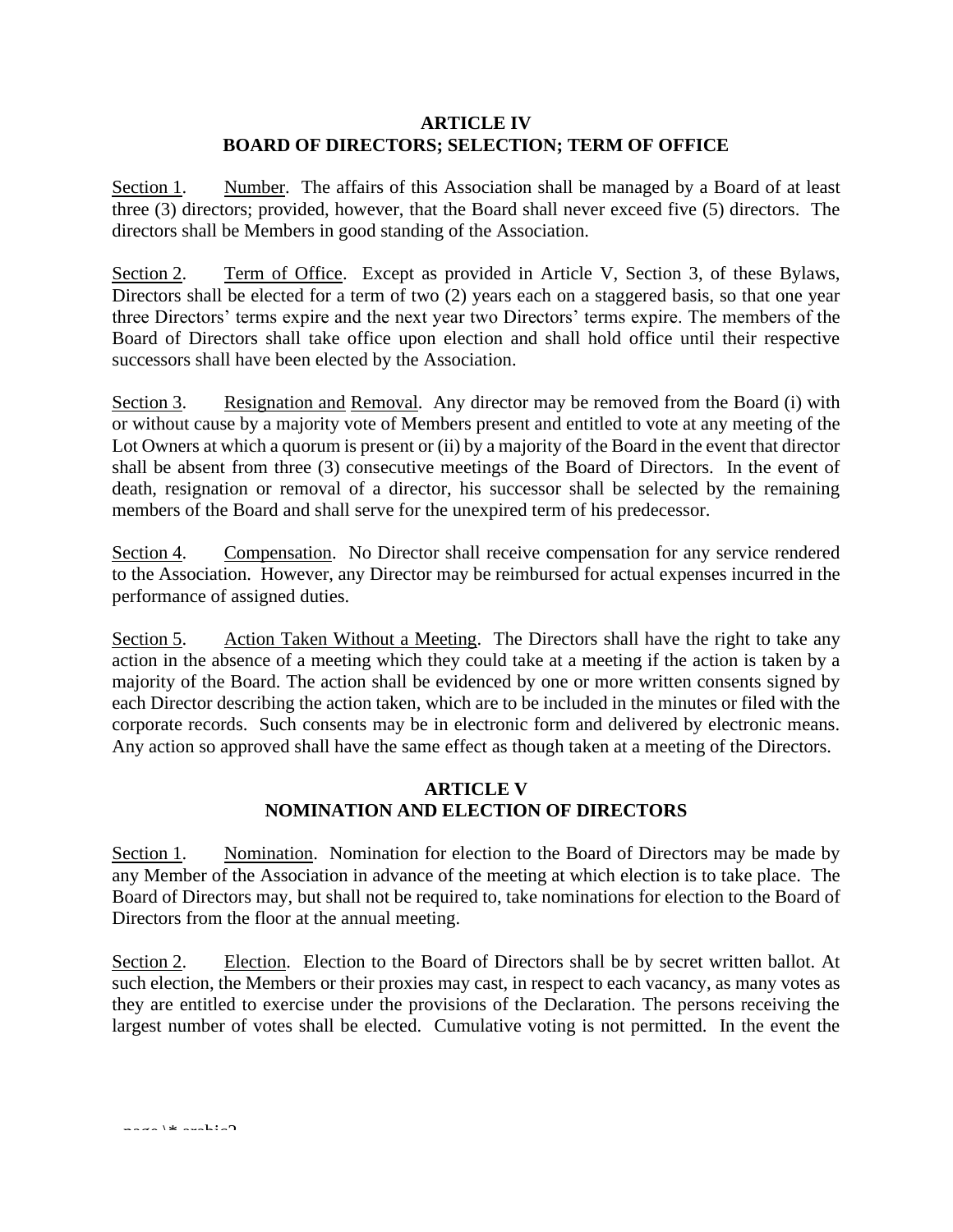### **ARTICLE IV BOARD OF DIRECTORS; SELECTION; TERM OF OFFICE**

Section 1. Number. The affairs of this Association shall be managed by a Board of at least three (3) directors; provided, however, that the Board shall never exceed five (5) directors. The directors shall be Members in good standing of the Association.

Section 2. Term of Office. Except as provided in Article V, Section 3, of these Bylaws, Directors shall be elected for a term of two  $(2)$  years each on a staggered basis, so that one year three Directors' terms expire and the next year two Directors' terms expire. The members of the Board of Directors shall take office upon election and shall hold office until their respective successors shall have been elected by the Association.

Section 3. Resignation and Removal. Any director may be removed from the Board (i) with or without cause by a majority vote of Members present and entitled to vote at any meeting of the Lot Owners at which a quorum is present or (ii) by a majority of the Board in the event that director shall be absent from three (3) consecutive meetings of the Board of Directors. In the event of death, resignation or removal of a director, his successor shall be selected by the remaining members of the Board and shall serve for the unexpired term of his predecessor.

Section 4. Compensation. No Director shall receive compensation for any service rendered to the Association. However, any Director may be reimbursed for actual expenses incurred in the performance of assigned duties.

Section 5. Action Taken Without a Meeting. The Directors shall have the right to take any action in the absence of a meeting which they could take at a meeting if the action is taken by a majority of the Board. The action shall be evidenced by one or more written consents signed by each Director describing the action taken, which are to be included in the minutes or filed with the corporate records. Such consents may be in electronic form and delivered by electronic means. Any action so approved shall have the same effect as though taken at a meeting of the Directors.

# **ARTICLE V NOMINATION AND ELECTION OF DIRECTORS**

Section 1. Nomination. Nomination for election to the Board of Directors may be made by any Member of the Association in advance of the meeting at which election is to take place. The Board of Directors may, but shall not be required to, take nominations for election to the Board of Directors from the floor at the annual meeting.

Section 2. Election. Election to the Board of Directors shall be by secret written ballot. At such election, the Members or their proxies may cast, in respect to each vacancy, as many votes as they are entitled to exercise under the provisions of the Declaration. The persons receiving the largest number of votes shall be elected. Cumulative voting is not permitted. In the event the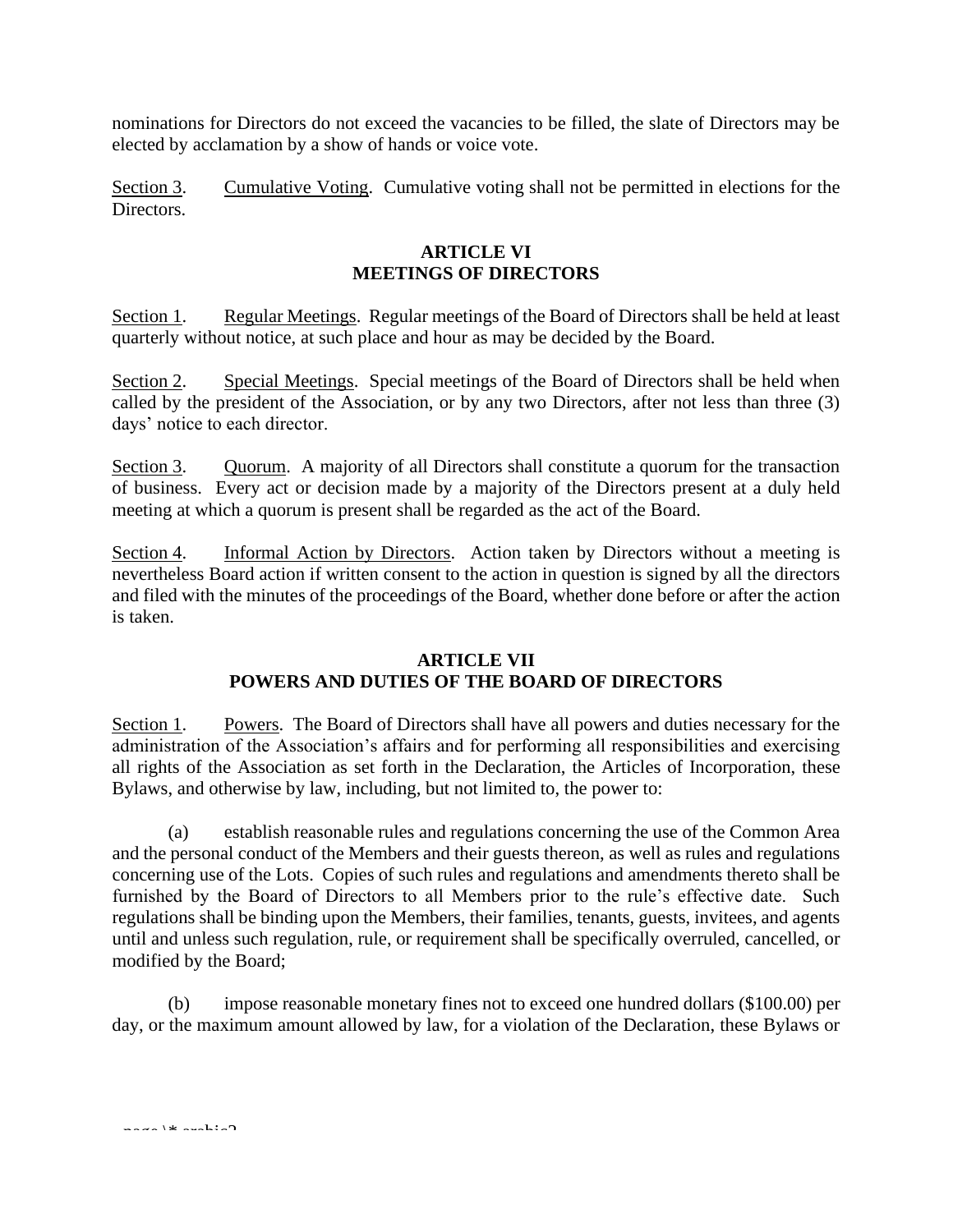nominations for Directors do not exceed the vacancies to be filled, the slate of Directors may be elected by acclamation by a show of hands or voice vote.

Section 3. Cumulative Voting. Cumulative voting shall not be permitted in elections for the Directors.

### **ARTICLE VI MEETINGS OF DIRECTORS**

Section 1. Regular Meetings. Regular meetings of the Board of Directors shall be held at least quarterly without notice, at such place and hour as may be decided by the Board.

Section 2. Special Meetings. Special meetings of the Board of Directors shall be held when called by the president of the Association, or by any two Directors, after not less than three (3) days' notice to each director.

Section 3. Quorum. A majority of all Directors shall constitute a quorum for the transaction of business. Every act or decision made by a majority of the Directors present at a duly held meeting at which a quorum is present shall be regarded as the act of the Board.

Section 4. Informal Action by Directors. Action taken by Directors without a meeting is nevertheless Board action if written consent to the action in question is signed by all the directors and filed with the minutes of the proceedings of the Board, whether done before or after the action is taken.

# **ARTICLE VII POWERS AND DUTIES OF THE BOARD OF DIRECTORS**

Section 1. Powers. The Board of Directors shall have all powers and duties necessary for the administration of the Association's affairs and for performing all responsibilities and exercising all rights of the Association as set forth in the Declaration, the Articles of Incorporation, these Bylaws, and otherwise by law, including, but not limited to, the power to:

(a) establish reasonable rules and regulations concerning the use of the Common Area and the personal conduct of the Members and their guests thereon, as well as rules and regulations concerning use of the Lots. Copies of such rules and regulations and amendments thereto shall be furnished by the Board of Directors to all Members prior to the rule's effective date. Such regulations shall be binding upon the Members, their families, tenants, guests, invitees, and agents until and unless such regulation, rule, or requirement shall be specifically overruled, cancelled, or modified by the Board;

(b) impose reasonable monetary fines not to exceed one hundred dollars (\$100.00) per day, or the maximum amount allowed by law, for a violation of the Declaration, these Bylaws or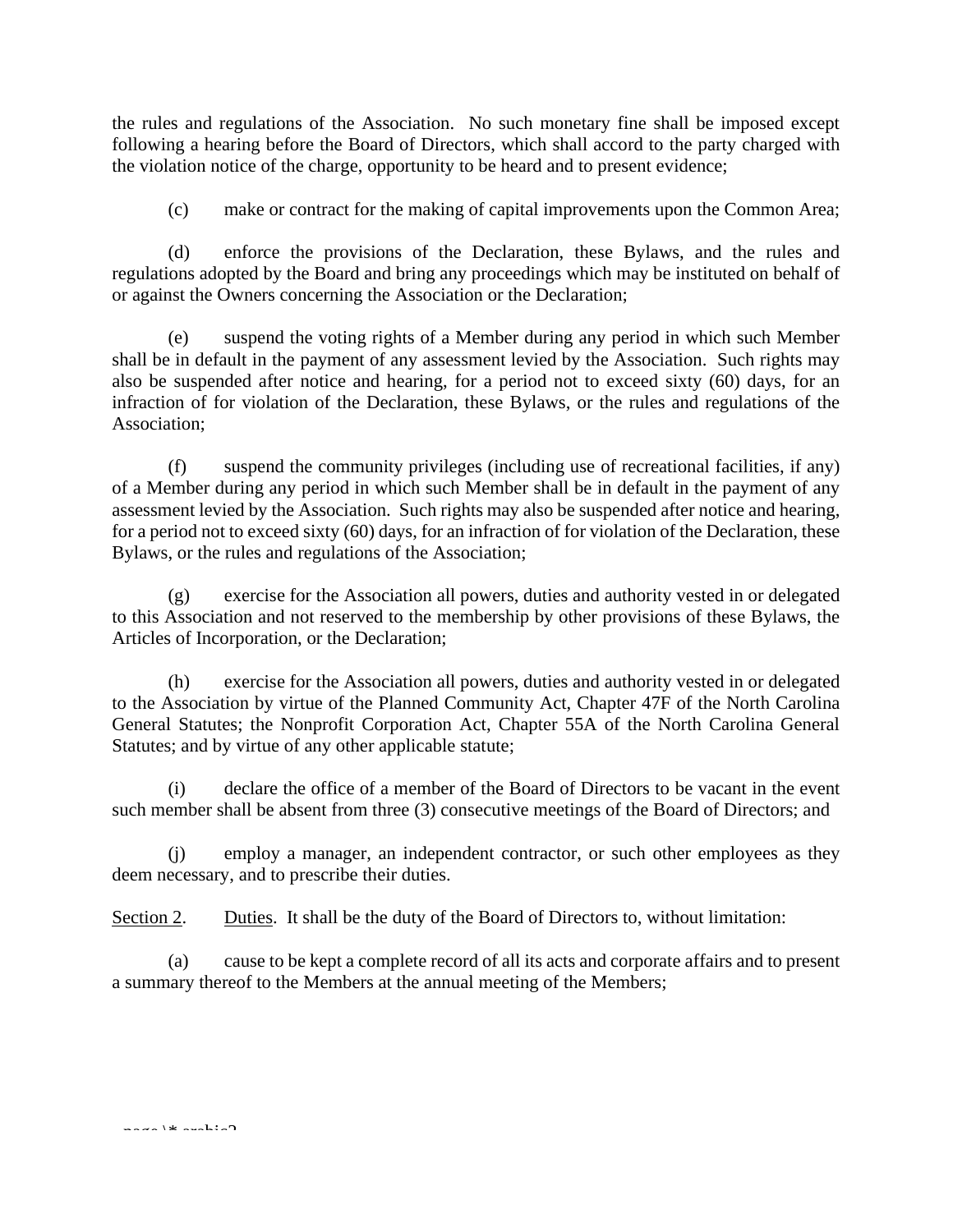the rules and regulations of the Association. No such monetary fine shall be imposed except following a hearing before the Board of Directors, which shall accord to the party charged with the violation notice of the charge, opportunity to be heard and to present evidence;

(c) make or contract for the making of capital improvements upon the Common Area;

(d) enforce the provisions of the Declaration, these Bylaws, and the rules and regulations adopted by the Board and bring any proceedings which may be instituted on behalf of or against the Owners concerning the Association or the Declaration;

(e) suspend the voting rights of a Member during any period in which such Member shall be in default in the payment of any assessment levied by the Association. Such rights may also be suspended after notice and hearing, for a period not to exceed sixty (60) days, for an infraction of for violation of the Declaration, these Bylaws, or the rules and regulations of the Association;

(f) suspend the community privileges (including use of recreational facilities, if any) of a Member during any period in which such Member shall be in default in the payment of any assessment levied by the Association. Such rights may also be suspended after notice and hearing, for a period not to exceed sixty (60) days, for an infraction of for violation of the Declaration, these Bylaws, or the rules and regulations of the Association;

(g) exercise for the Association all powers, duties and authority vested in or delegated to this Association and not reserved to the membership by other provisions of these Bylaws, the Articles of Incorporation, or the Declaration;

(h) exercise for the Association all powers, duties and authority vested in or delegated to the Association by virtue of the Planned Community Act, Chapter 47F of the North Carolina General Statutes; the Nonprofit Corporation Act, Chapter 55A of the North Carolina General Statutes; and by virtue of any other applicable statute;

(i) declare the office of a member of the Board of Directors to be vacant in the event such member shall be absent from three (3) consecutive meetings of the Board of Directors; and

(j) employ a manager, an independent contractor, or such other employees as they deem necessary, and to prescribe their duties.

Section 2. Duties. It shall be the duty of the Board of Directors to, without limitation:

(a) cause to be kept a complete record of all its acts and corporate affairs and to present a summary thereof to the Members at the annual meeting of the Members;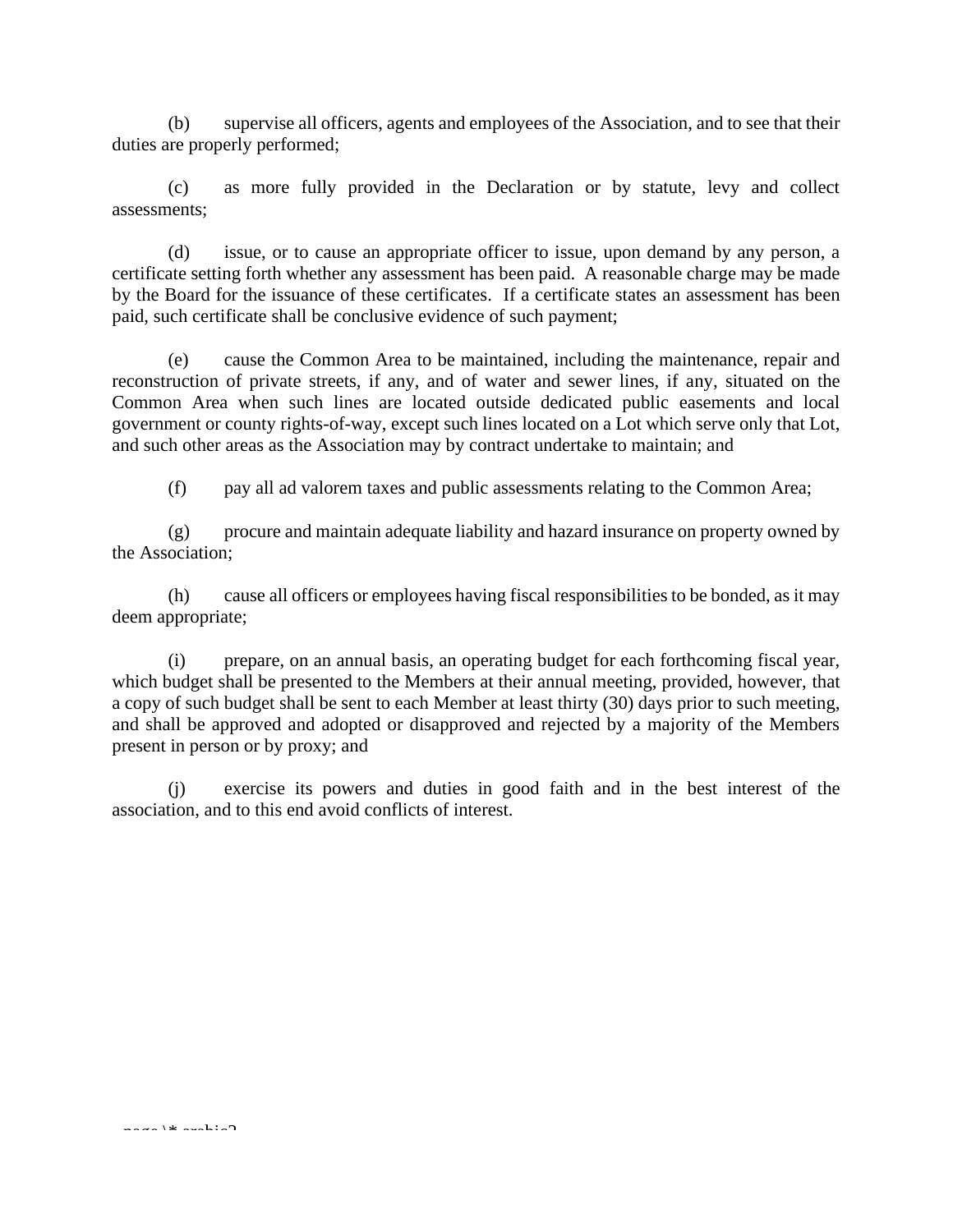(b) supervise all officers, agents and employees of the Association, and to see that their duties are properly performed;

(c) as more fully provided in the Declaration or by statute, levy and collect assessments;

(d) issue, or to cause an appropriate officer to issue, upon demand by any person, a certificate setting forth whether any assessment has been paid. A reasonable charge may be made by the Board for the issuance of these certificates. If a certificate states an assessment has been paid, such certificate shall be conclusive evidence of such payment;

(e) cause the Common Area to be maintained, including the maintenance, repair and reconstruction of private streets, if any, and of water and sewer lines, if any, situated on the Common Area when such lines are located outside dedicated public easements and local government or county rights-of-way, except such lines located on a Lot which serve only that Lot, and such other areas as the Association may by contract undertake to maintain; and

(f) pay all ad valorem taxes and public assessments relating to the Common Area;

(g) procure and maintain adequate liability and hazard insurance on property owned by the Association;

(h) cause all officers or employees having fiscal responsibilities to be bonded, as it may deem appropriate;

(i) prepare, on an annual basis, an operating budget for each forthcoming fiscal year, which budget shall be presented to the Members at their annual meeting, provided, however, that a copy of such budget shall be sent to each Member at least thirty (30) days prior to such meeting, and shall be approved and adopted or disapproved and rejected by a majority of the Members present in person or by proxy; and

(j) exercise its powers and duties in good faith and in the best interest of the association, and to this end avoid conflicts of interest.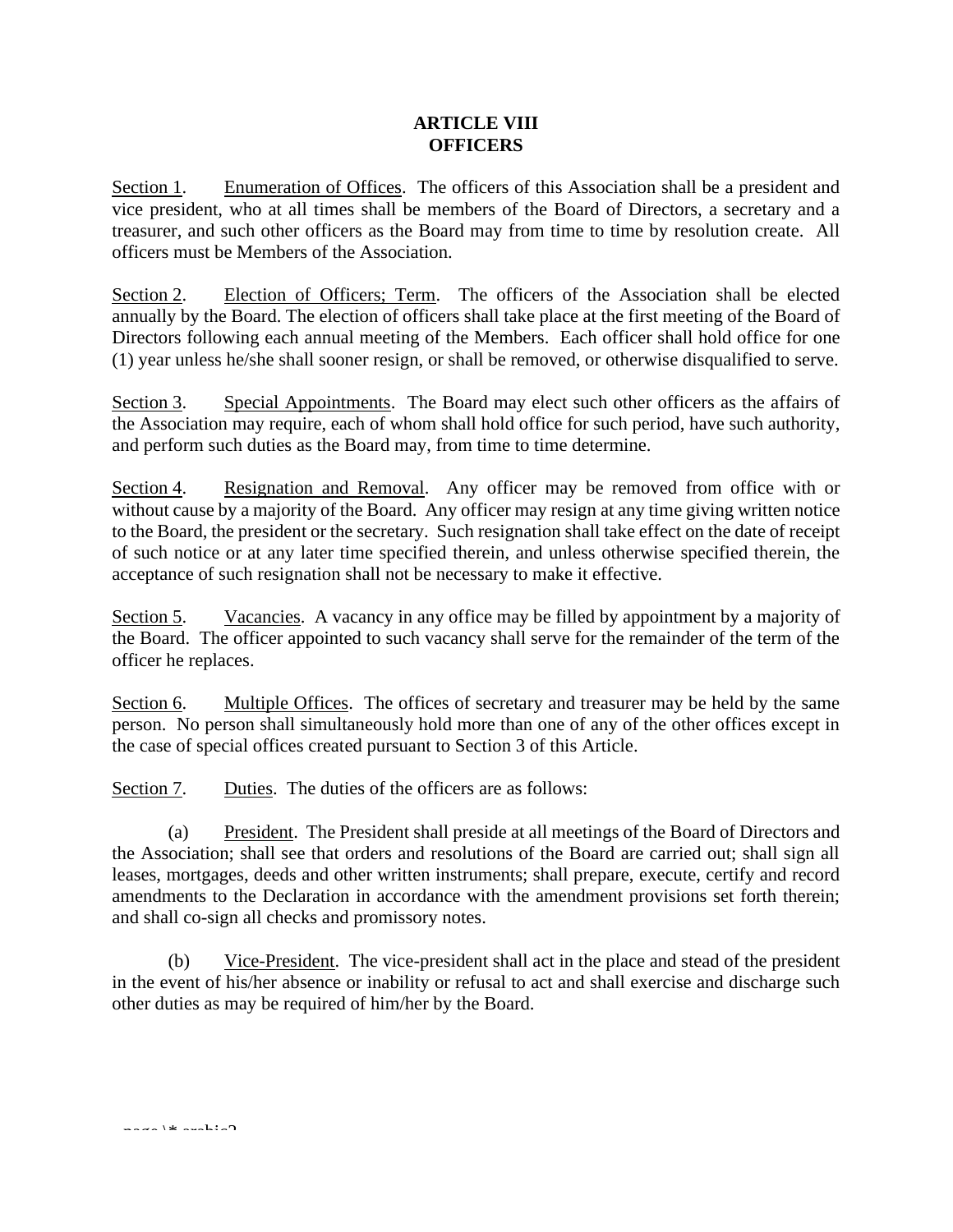# **ARTICLE VIII OFFICERS**

Section 1. Enumeration of Offices. The officers of this Association shall be a president and vice president, who at all times shall be members of the Board of Directors, a secretary and a treasurer, and such other officers as the Board may from time to time by resolution create. All officers must be Members of the Association.

Section 2. Election of Officers; Term. The officers of the Association shall be elected annually by the Board. The election of officers shall take place at the first meeting of the Board of Directors following each annual meeting of the Members. Each officer shall hold office for one (1) year unless he/she shall sooner resign, or shall be removed, or otherwise disqualified to serve.

Section 3. Special Appointments. The Board may elect such other officers as the affairs of the Association may require, each of whom shall hold office for such period, have such authority, and perform such duties as the Board may, from time to time determine.

Section 4. Resignation and Removal. Any officer may be removed from office with or without cause by a majority of the Board. Any officer may resign at any time giving written notice to the Board, the president or the secretary. Such resignation shall take effect on the date of receipt of such notice or at any later time specified therein, and unless otherwise specified therein, the acceptance of such resignation shall not be necessary to make it effective.

Section 5. Vacancies. A vacancy in any office may be filled by appointment by a majority of the Board. The officer appointed to such vacancy shall serve for the remainder of the term of the officer he replaces.

Section 6. Multiple Offices. The offices of secretary and treasurer may be held by the same person. No person shall simultaneously hold more than one of any of the other offices except in the case of special offices created pursuant to Section 3 of this Article.

Section 7. Duties. The duties of the officers are as follows:

(a) President. The President shall preside at all meetings of the Board of Directors and the Association; shall see that orders and resolutions of the Board are carried out; shall sign all leases, mortgages, deeds and other written instruments; shall prepare, execute, certify and record amendments to the Declaration in accordance with the amendment provisions set forth therein; and shall co-sign all checks and promissory notes.

(b) Vice-President. The vice-president shall act in the place and stead of the president in the event of his/her absence or inability or refusal to act and shall exercise and discharge such other duties as may be required of him/her by the Board.

page  $\rightarrow$  4  $\rightarrow$  arabic  $\sim$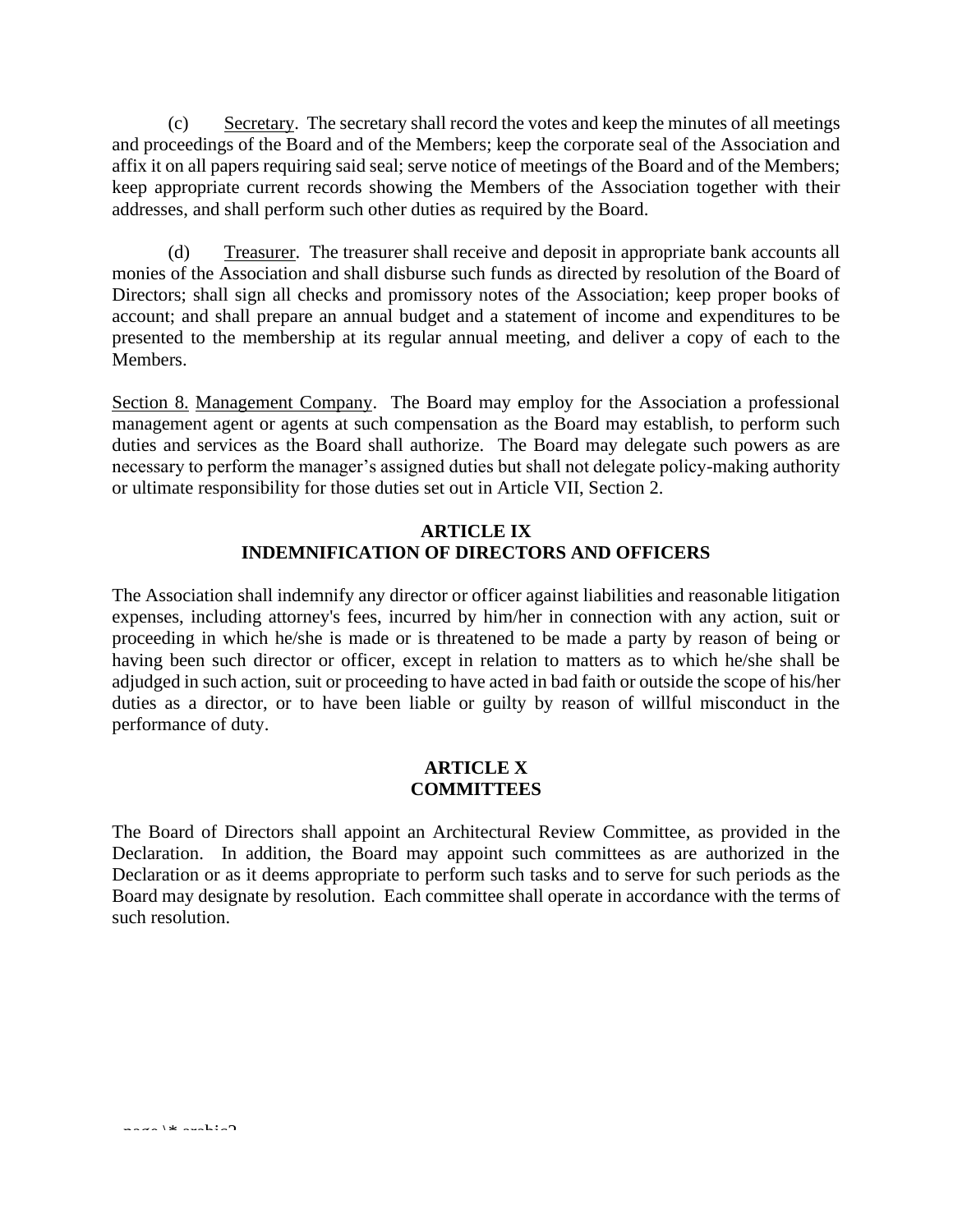(c) Secretary. The secretary shall record the votes and keep the minutes of all meetings and proceedings of the Board and of the Members; keep the corporate seal of the Association and affix it on all papers requiring said seal; serve notice of meetings of the Board and of the Members; keep appropriate current records showing the Members of the Association together with their addresses, and shall perform such other duties as required by the Board.

(d) Treasurer. The treasurer shall receive and deposit in appropriate bank accounts all monies of the Association and shall disburse such funds as directed by resolution of the Board of Directors; shall sign all checks and promissory notes of the Association; keep proper books of account; and shall prepare an annual budget and a statement of income and expenditures to be presented to the membership at its regular annual meeting, and deliver a copy of each to the Members.

Section 8. Management Company. The Board may employ for the Association a professional management agent or agents at such compensation as the Board may establish, to perform such duties and services as the Board shall authorize. The Board may delegate such powers as are necessary to perform the manager's assigned duties but shall not delegate policy-making authority or ultimate responsibility for those duties set out in Article VII, Section 2.

# **ARTICLE IX INDEMNIFICATION OF DIRECTORS AND OFFICERS**

The Association shall indemnify any director or officer against liabilities and reasonable litigation expenses, including attorney's fees, incurred by him/her in connection with any action, suit or proceeding in which he/she is made or is threatened to be made a party by reason of being or having been such director or officer, except in relation to matters as to which he/she shall be adjudged in such action, suit or proceeding to have acted in bad faith or outside the scope of his/her duties as a director, or to have been liable or guilty by reason of willful misconduct in the performance of duty.

#### **ARTICLE X COMMITTEES**

The Board of Directors shall appoint an Architectural Review Committee, as provided in the Declaration. In addition, the Board may appoint such committees as are authorized in the Declaration or as it deems appropriate to perform such tasks and to serve for such periods as the Board may designate by resolution. Each committee shall operate in accordance with the terms of such resolution.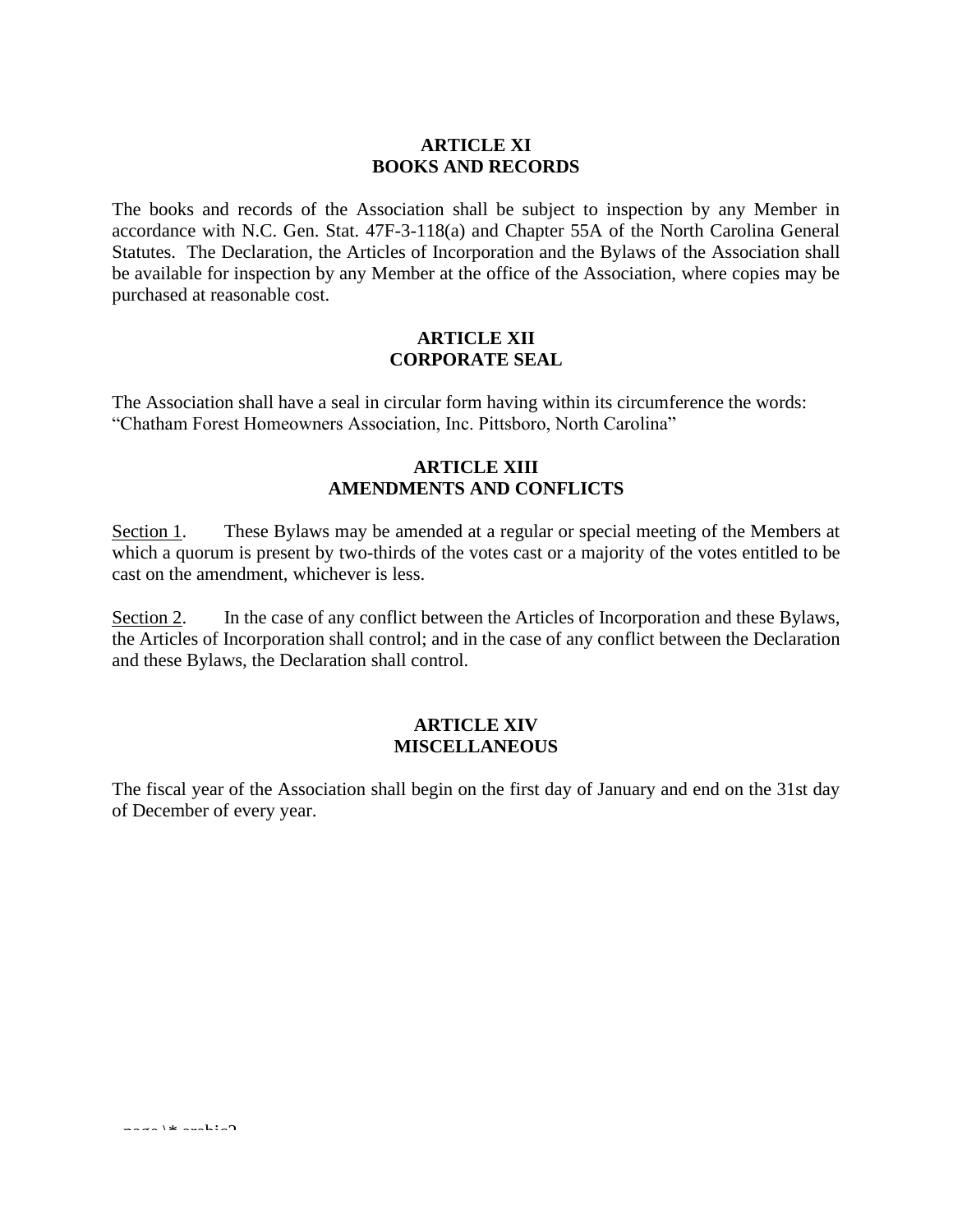### **ARTICLE XI BOOKS AND RECORDS**

The books and records of the Association shall be subject to inspection by any Member in accordance with N.C. Gen. Stat. 47F-3-118(a) and Chapter 55A of the North Carolina General Statutes. The Declaration, the Articles of Incorporation and the Bylaws of the Association shall be available for inspection by any Member at the office of the Association, where copies may be purchased at reasonable cost.

# **ARTICLE XII CORPORATE SEAL**

The Association shall have a seal in circular form having within its circumference the words: "Chatham Forest Homeowners Association, Inc. Pittsboro, North Carolina"

### **ARTICLE XIII AMENDMENTS AND CONFLICTS**

Section 1. These Bylaws may be amended at a regular or special meeting of the Members at which a quorum is present by two-thirds of the votes cast or a majority of the votes entitled to be cast on the amendment, whichever is less.

Section 2. In the case of any conflict between the Articles of Incorporation and these Bylaws, the Articles of Incorporation shall control; and in the case of any conflict between the Declaration and these Bylaws, the Declaration shall control.

#### **ARTICLE XIV MISCELLANEOUS**

The fiscal year of the Association shall begin on the first day of January and end on the 31st day of December of every year.